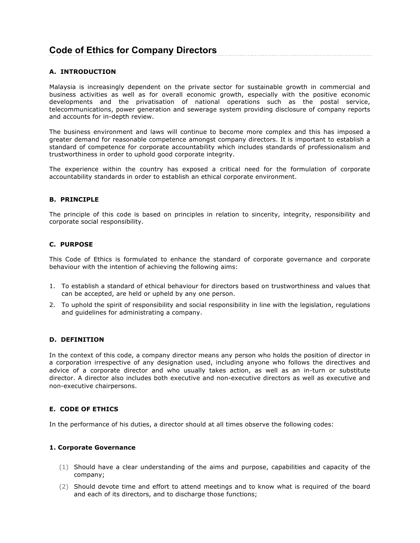# **Code of Ethics for Company Directors**

## **A. INTRODUCTION**

Malaysia is increasingly dependent on the private sector for sustainable growth in commercial and business activities as well as for overall economic growth, especially with the positive economic developments and the privatisation of national operations such as the postal service, telecommunications, power generation and sewerage system providing disclosure of company reports and accounts for in-depth review.

The business environment and laws will continue to become more complex and this has imposed a greater demand for reasonable competence amongst company directors. It is important to establish a standard of competence for corporate accountability which includes standards of professionalism and trustworthiness in order to uphold good corporate integrity.

The experience within the country has exposed a critical need for the formulation of corporate accountability standards in order to establish an ethical corporate environment.

### **B. PRINCIPLE**

The principle of this code is based on principles in relation to sincerity, integrity, responsibility and corporate social responsibility.

### **C. PURPOSE**

This Code of Ethics is formulated to enhance the standard of corporate governance and corporate behaviour with the intention of achieving the following aims:

- 1. To establish a standard of ethical behaviour for directors based on trustworthiness and values that can be accepted, are held or upheld by any one person.
- 2. To uphold the spirit of responsibility and social responsibility in line with the legislation, regulations and guidelines for administrating a company.

## **D. DEFINITION**

In the context of this code, a company director means any person who holds the position of director in a corporation irrespective of any designation used, including anyone who follows the directives and advice of a corporate director and who usually takes action, as well as an in-turn or substitute director. A director also includes both executive and non-executive directors as well as executive and non-executive chairpersons.

## **E. CODE OF ETHICS**

In the performance of his duties, a director should at all times observe the following codes:

#### **1. Corporate Governance**

- (1) Should have a clear understanding of the aims and purpose, capabilities and capacity of the company;
- (2) Should devote time and effort to attend meetings and to know what is required of the board and each of its directors, and to discharge those functions;